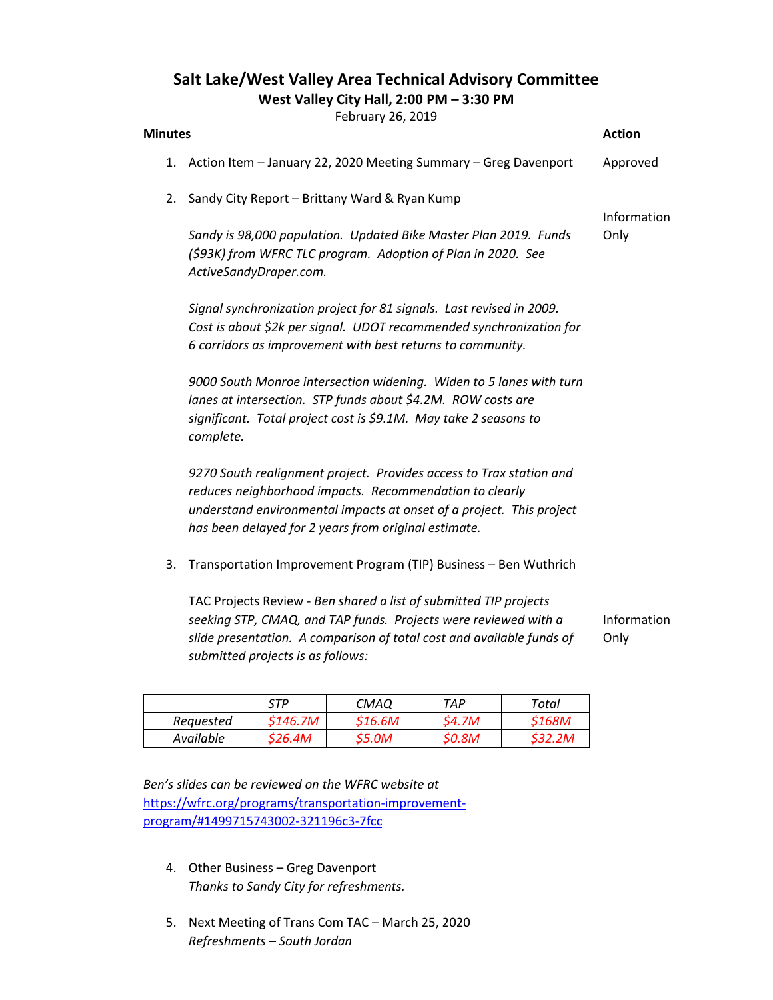## Salt Lake/West Valley Area Technical Advisory Committee

West Valley City Hall, 2:00 PM – 3:30 PM

February 26, 2019

| <b>Minutes</b>                                                                                                                                                                                                                       |                                                                                                                                                                                                                                                                | $1$ CDI GUI $y$ CV, CVIJ                                        |         |        |        | <b>Action</b> |  |  |  |
|--------------------------------------------------------------------------------------------------------------------------------------------------------------------------------------------------------------------------------------|----------------------------------------------------------------------------------------------------------------------------------------------------------------------------------------------------------------------------------------------------------------|-----------------------------------------------------------------|---------|--------|--------|---------------|--|--|--|
| 1.                                                                                                                                                                                                                                   |                                                                                                                                                                                                                                                                | Action Item - January 22, 2020 Meeting Summary - Greg Davenport |         |        |        | Approved      |  |  |  |
| 2.                                                                                                                                                                                                                                   | Sandy City Report - Brittany Ward & Ryan Kump                                                                                                                                                                                                                  |                                                                 |         |        |        | Information   |  |  |  |
|                                                                                                                                                                                                                                      | Sandy is 98,000 population. Updated Bike Master Plan 2019. Funds<br>(\$93K) from WFRC TLC program. Adoption of Plan in 2020. See<br>ActiveSandyDraper.com.                                                                                                     |                                                                 |         |        |        |               |  |  |  |
|                                                                                                                                                                                                                                      | Signal synchronization project for 81 signals. Last revised in 2009.<br>Cost is about \$2k per signal. UDOT recommended synchronization for<br>6 corridors as improvement with best returns to community.                                                      |                                                                 |         |        |        |               |  |  |  |
|                                                                                                                                                                                                                                      | 9000 South Monroe intersection widening. Widen to 5 lanes with turn<br>lanes at intersection. STP funds about \$4.2M. ROW costs are<br>significant. Total project cost is \$9.1M. May take 2 seasons to<br>complete.                                           |                                                                 |         |        |        |               |  |  |  |
|                                                                                                                                                                                                                                      | 9270 South realignment project. Provides access to Trax station and<br>reduces neighborhood impacts. Recommendation to clearly<br>understand environmental impacts at onset of a project. This project<br>has been delayed for 2 years from original estimate. |                                                                 |         |        |        |               |  |  |  |
| 3.                                                                                                                                                                                                                                   | Transportation Improvement Program (TIP) Business - Ben Wuthrich                                                                                                                                                                                               |                                                                 |         |        |        |               |  |  |  |
| TAC Projects Review - Ben shared a list of submitted TIP projects<br>seeking STP, CMAQ, and TAP funds. Projects were reviewed with a<br>Information<br>slide presentation. A comparison of total cost and available funds of<br>Only |                                                                                                                                                                                                                                                                |                                                                 |         |        |        |               |  |  |  |
|                                                                                                                                                                                                                                      | submitted projects is as follows:                                                                                                                                                                                                                              |                                                                 |         |        |        |               |  |  |  |
|                                                                                                                                                                                                                                      | STP<br><b>CMAQ</b><br><b>TAP</b><br><b>Total</b>                                                                                                                                                                                                               |                                                                 |         |        |        |               |  |  |  |
| Requested                                                                                                                                                                                                                            |                                                                                                                                                                                                                                                                | \$146.7M                                                        | \$16.6M | \$4.7M | \$168M |               |  |  |  |

Ben's slides can be reviewed on the WFRC website at https://wfrc.org/programs/transportation-improvementprogram/#1499715743002-321196c3-7fcc

Available \$26.4M \$5.0M \$0.8M \$32.2M

- 4. Other Business Greg Davenport Thanks to Sandy City for refreshments.
- 5. Next Meeting of Trans Com TAC March 25, 2020 Refreshments – South Jordan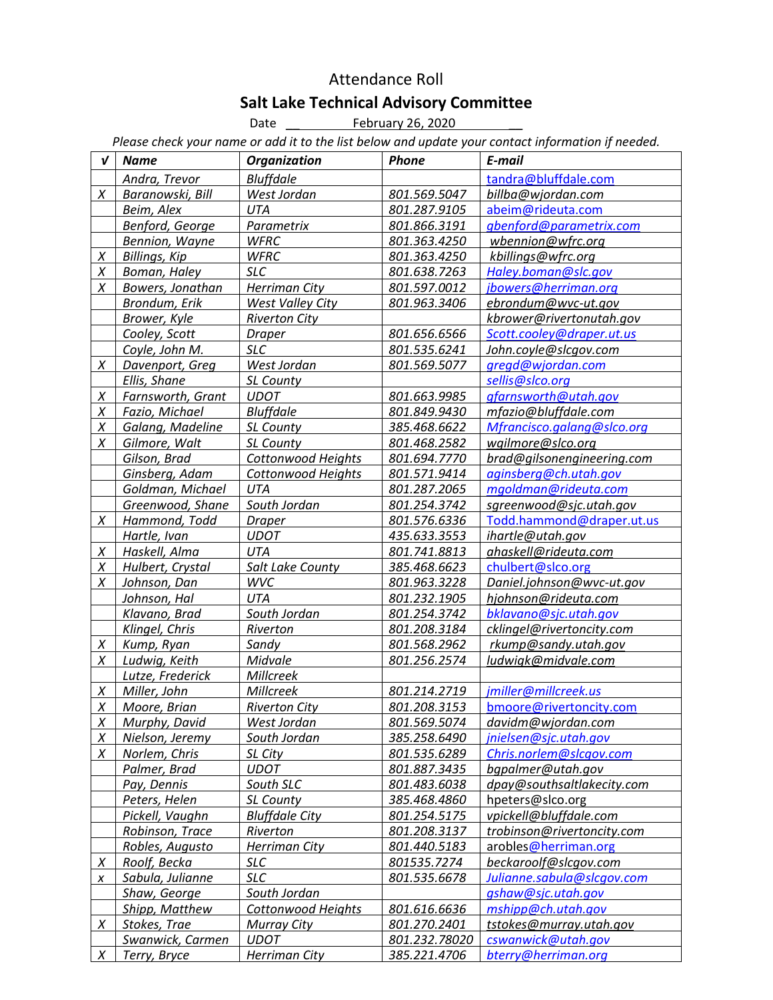## Attendance Roll Salt Lake Technical Advisory Committee<br>Date <u>Camel February 26, 2020</u>

February 26, 2020

Please check your name or add it to the list below and update your contact information if needed.

| V      | <b>Name</b>          | <b>Organization</b>       | <b>Phone</b>  | E-mail                     |
|--------|----------------------|---------------------------|---------------|----------------------------|
|        | Andra, Trevor        | <b>Bluffdale</b>          |               | tandra@bluffdale.com       |
| $\chi$ | Baranowski, Bill     | West Jordan               | 801.569.5047  | billba@wjordan.com         |
|        | Beim, Alex           | UTA                       | 801.287.9105  | abeim@rideuta.com          |
|        | Benford, George      | Parametrix                | 801.866.3191  | qbenford@parametrix.com    |
|        | Bennion, Wayne       | <b>WFRC</b>               | 801.363.4250  | wbennion@wfrc.org          |
| X      | <b>Billings, Kip</b> | <b>WFRC</b>               | 801.363.4250  | kbillings@wfrc.org         |
| X      | Boman, Haley         | <b>SLC</b>                | 801.638.7263  | Haley.boman@slc.gov        |
| X      | Bowers, Jonathan     | Herriman City             | 801.597.0012  | jbowers@herriman.org       |
|        | Brondum, Erik        | West Valley City          | 801.963.3406  | ebrondum@wvc-ut.gov        |
|        | Brower, Kyle         | <b>Riverton City</b>      |               | kbrower@rivertonutah.gov   |
|        | Cooley, Scott        | <b>Draper</b>             | 801.656.6566  | Scott.cooley@draper.ut.us  |
|        | Coyle, John M.       | <b>SLC</b>                | 801.535.6241  | John.coyle@slcgov.com      |
| X      | Davenport, Greg      | West Jordan               | 801.569.5077  | gregd@wjordan.com          |
|        | Ellis, Shane         | <b>SL County</b>          |               | sellis@slco.org            |
| X      | Farnsworth, Grant    | <b>UDOT</b>               | 801.663.9985  | gfarnsworth@utah.gov       |
| X      | Fazio, Michael       | <b>Bluffdale</b>          | 801.849.9430  | mfazio@bluffdale.com       |
| X      | Galang, Madeline     | SL County                 | 385.468.6622  | Mfrancisco.galang@slco.org |
| X      | Gilmore, Walt        | SL County                 | 801.468.2582  | wgilmore@slco.org          |
|        | Gilson, Brad         | Cottonwood Heights        | 801.694.7770  | brad@gilsonengineering.com |
|        | Ginsberg, Adam       | <b>Cottonwood Heights</b> | 801.571.9414  | aginsberg@ch.utah.gov      |
|        | Goldman, Michael     | UTA                       | 801.287.2065  | mgoldman@rideuta.com       |
|        | Greenwood, Shane     | South Jordan              | 801.254.3742  | sgreenwood@sjc.utah.gov    |
| X      | Hammond, Todd        | <b>Draper</b>             | 801.576.6336  | Todd.hammond@draper.ut.us  |
|        | Hartle, Ivan         | <b>UDOT</b>               | 435.633.3553  | ihartle@utah.gov           |
| Χ      | Haskell, Alma        | <b>UTA</b>                | 801.741.8813  | ahaskell@rideuta.com       |
| X      | Hulbert, Crystal     | Salt Lake County          | 385.468.6623  | chulbert@slco.org          |
| X      | Johnson, Dan         | <b>WVC</b>                | 801.963.3228  | Daniel.johnson@wvc-ut.gov  |
|        | Johnson, Hal         | <b>UTA</b>                | 801.232.1905  | hjohnson@rideuta.com       |
|        | Klavano, Brad        | South Jordan              | 801.254.3742  | bklavano@sjc.utah.gov      |
|        | Klingel, Chris       | Riverton                  | 801.208.3184  | cklingel@rivertoncity.com  |
| X      | Kump, Ryan           | Sandy                     | 801.568.2962  | rkump@sandy.utah.gov       |
| $\chi$ | Ludwig, Keith        | Midvale                   | 801.256.2574  | ludwigk@midvale.com        |
|        | Lutze, Frederick     | Millcreek                 |               |                            |
| X      | Miller, John         | Millcreek                 | 801.214.2719  | jmiller@millcreek.us       |
| X      | Moore, Brian         | <b>Riverton City</b>      | 801.208.3153  | bmoore@rivertoncity.com    |
| X      | Murphy, David        | West Jordan               | 801.569.5074  | davidm@wjordan.com         |
| X      | Nielson, Jeremy      | South Jordan              | 385.258.6490  | jnielsen@sjc.utah.gov      |
| X      | Norlem, Chris        | SL City                   | 801.535.6289  | Chris.norlem@slcgov.com    |
|        | Palmer, Brad         | <b>UDOT</b>               | 801.887.3435  | bgpalmer@utah.gov          |
|        | Pay, Dennis          | South SLC                 | 801.483.6038  | dpay@southsaltlakecity.com |
|        | Peters, Helen        | SL County                 | 385.468.4860  | hpeters@slco.org           |
|        | Pickell, Vaughn      | <b>Bluffdale City</b>     | 801.254.5175  | vpickell@bluffdale.com     |
|        | Robinson, Trace      | Riverton                  | 801.208.3137  | trobinson@rivertoncity.com |
|        | Robles, Augusto      | Herriman City             | 801.440.5183  | arobles@herriman.org       |
| X      | Roolf, Becka         | SLC                       | 801535.7274   | beckaroolf@slcgov.com      |
| X      | Sabula, Julianne     | <b>SLC</b>                | 801.535.6678  | Julianne.sabula@slcqov.com |
|        | Shaw, George         | South Jordan              |               | gshaw@sjc.utah.gov         |
|        | Shipp, Matthew       | Cottonwood Heights        | 801.616.6636  | mshipp@ch.utah.gov         |
| X      | Stokes, Trae         | Murray City               | 801.270.2401  | tstokes@murray.utah.gov    |
|        | Swanwick, Carmen     | <b>UDOT</b>               | 801.232.78020 | cswanwick@utah.gov         |
| X      | Terry, Bryce         | Herriman City             | 385.221.4706  | bterry@herriman.org        |